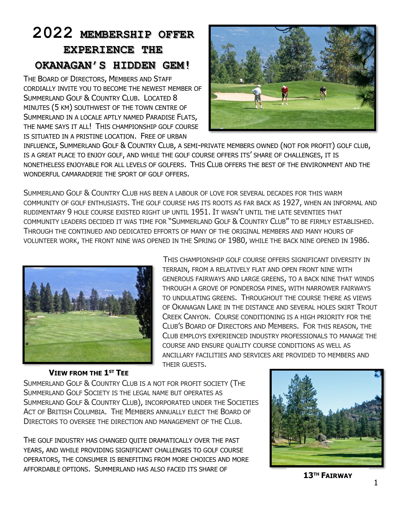# **2022 MEMBERSHIP OFFER EXPERIENCE THE OKANAGAN'S HIDDEN GEM!**

THE BOARD OF DIRECTORS, MEMBERS AND STAFF CORDIALLY INVITE YOU TO BECOME THE NEWEST MEMBER OF SUMMERLAND GOLF & COUNTRY CLUB. LOCATED 8 MINUTES (5 KM) SOUTHWEST OF THE TOWN CENTRE OF SUMMERLAND IN A LOCALE APTLY NAMED PARADISE FLATS, THE NAME SAYS IT ALL! THIS CHAMPIONSHIP GOLF COURSE IS SITUATED IN A PRISTINE LOCATION. FREE OF URBAN



THIS CHAMPIONSHIP GOLF COURSE OFFERS SIGNIFICANT DIVERSITY IN

GENEROUS FAIRWAYS AND LARGE GREENS, TO A BACK NINE THAT WINDS THROUGH A GROVE OF PONDEROSA PINES, WITH NARROWER FAIRWAYS TO UNDULATING GREENS. THROUGHOUT THE COURSE THERE AS VIEWS OF OKANAGAN LAKE IN THE DISTANCE AND SEVERAL HOLES SKIRT TROUT CREEK CANYON. COURSE CONDITIONING IS A HIGH PRIORITY FOR THE CLUB'S BOARD OF DIRECTORS AND MEMBERS. FOR THIS REASON, THE CLUB EMPLOYS EXPERIENCED INDUSTRY PROFESSIONALS TO MANAGE THE

TERRAIN, FROM A RELATIVELY FLAT AND OPEN FRONT NINE WITH

COURSE AND ENSURE QUALITY COURSE CONDITIONS AS WELL AS

INFLUENCE, SUMMERLAND GOLF & COUNTRY CLUB, A SEMI-PRIVATE MEMBERS OWNED (NOT FOR PROFIT) GOLF CLUB, IS A GREAT PLACE TO ENJOY GOLF, AND WHILE THE GOLF COURSE OFFERS ITS' SHARE OF CHALLENGES, IT IS NONETHELESS ENJOYABLE FOR ALL LEVELS OF GOLFERS. THIS CLUB OFFERS THE BEST OF THE ENVIRONMENT AND THE WONDERFUL CAMARADERIE THE SPORT OF GOLF OFFERS.

SUMMERLAND GOLF & COUNTRY CLUB HAS BEEN A LABOUR OF LOVE FOR SEVERAL DECADES FOR THIS WARM COMMUNITY OF GOLF ENTHUSIASTS. THE GOLF COURSE HAS ITS ROOTS AS FAR BACK AS 1927, WHEN AN INFORMAL AND RUDIMENTARY 9 HOLE COURSE EXISTED RIGHT UP UNTIL 1951. IT WASN'T UNTIL THE LATE SEVENTIES THAT COMMUNITY LEADERS DECIDED IT WAS TIME FOR "SUMMERLAND GOLF & COUNTRY CLUB" TO BE FIRMLY ESTABLISHED. THROUGH THE CONTINUED AND DEDICATED EFFORTS OF MANY OF THE ORIGINAL MEMBERS AND MANY HOURS OF VOLUNTEER WORK, THE FRONT NINE WAS OPENED IN THE SPRING OF 1980, WHILE THE BACK NINE OPENED IN 1986.



# ANCILLARY FACILITIES AND SERVICES ARE PROVIDED TO MEMBERS AND THEIR GUESTS.

### **VIEW FROM THE 1 ST TEE**

SUMMERLAND GOLF & COUNTRY CLUB IS A NOT FOR PROFIT SOCIETY (THE SUMMERLAND GOLF SOCIETY IS THE LEGAL NAME BUT OPERATES AS SUMMERLAND GOLF & COUNTRY CLUB), INCORPORATED UNDER THE SOCIETIES ACT OF BRITISH COLUMBIA. THE MEMBERS ANNUALLY ELECT THE BOARD OF DIRECTORS TO OVERSEE THE DIRECTION AND MANAGEMENT OF THE CLUB.

THE GOLF INDUSTRY HAS CHANGED QUITE DRAMATICALLY OVER THE PAST YEARS, AND WHILE PROVIDING SIGNIFICANT CHALLENGES TO GOLF COURSE OPERATORS, THE CONSUMER IS BENEFITING FROM MORE CHOICES AND MORE AFFORDABLE OPTIONS. SUMMERLAND HAS ALSO FACED ITS SHARE OF



**13TH FAIRWAY**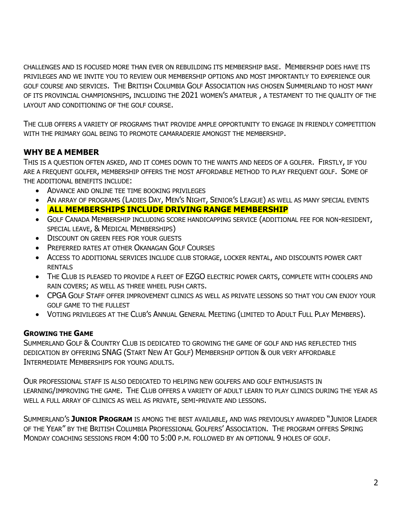CHALLENGES AND IS FOCUSED MORE THAN EVER ON REBUILDING ITS MEMBERSHIP BASE. MEMBERSHIP DOES HAVE ITS PRIVILEGES AND WE INVITE YOU TO REVIEW OUR MEMBERSHIP OPTIONS AND MOST IMPORTANTLY TO EXPERIENCE OUR GOLF COURSE AND SERVICES. THE BRITISH COLUMBIA GOLF ASSOCIATION HAS CHOSEN SUMMERLAND TO HOST MANY OF ITS PROVINCIAL CHAMPIONSHIPS, INCLUDING THE 2021 WOMEN'S AMATEUR , A TESTAMENT TO THE QUALITY OF THE LAYOUT AND CONDITIONING OF THE GOLF COURSE.

THE CLUB OFFERS A VARIETY OF PROGRAMS THAT PROVIDE AMPLE OPPORTUNITY TO ENGAGE IN FRIENDLY COMPETITION WITH THE PRIMARY GOAL BEING TO PROMOTE CAMARADERIE AMONGST THE MEMBERSHIP.

## **WHY BE A MEMBER**

THIS IS A QUESTION OFTEN ASKED, AND IT COMES DOWN TO THE WANTS AND NEEDS OF A GOLFER. FIRSTLY, IF YOU ARE A FREQUENT GOLFER, MEMBERSHIP OFFERS THE MOST AFFORDABLE METHOD TO PLAY FREQUENT GOLF. SOME OF THE ADDITIONAL BENEFITS INCLUDE:

- ADVANCE AND ONLINE TEE TIME BOOKING PRIVILEGES
- AN ARRAY OF PROGRAMS (LADIES DAY, MEN'S NIGHT, SENIOR'S LEAGUE) AS WELL AS MANY SPECIAL EVENTS
- **ALL MEMBERSHIPS INCLUDE DRIVING RANGE MEMBERSHIP**
- GOLF CANADA MEMBERSHIP INCLUDING SCORE HANDICAPPING SERVICE (ADDITIONAL FEE FOR NON-RESIDENT, SPECIAL LEAVE, & MEDICAL MEMBERSHIPS)
- DISCOUNT ON GREEN FEES FOR YOUR GUESTS
- PREFERRED RATES AT OTHER OKANAGAN GOLF COURSES
- ACCESS TO ADDITIONAL SERVICES INCLUDE CLUB STORAGE, LOCKER RENTAL, AND DISCOUNTS POWER CART RENTALS
- THE CLUB IS PLEASED TO PROVIDE A FLEET OF EZGO ELECTRIC POWER CARTS, COMPLETE WITH COOLERS AND RAIN COVERS; AS WELL AS THREE WHEEL PUSH CARTS.
- CPGA GOLF STAFF OFFER IMPROVEMENT CLINICS AS WELL AS PRIVATE LESSONS SO THAT YOU CAN ENJOY YOUR GOLF GAME TO THE FULLEST
- VOTING PRIVILEGES AT THE CLUB'S ANNUAL GENERAL MEETING (LIMITED TO ADULT FULL PLAY MEMBERS).

### **GROWING THE GAME**

SUMMERLAND GOLF & COUNTRY CLUB IS DEDICATED TO GROWING THE GAME OF GOLF AND HAS REFLECTED THIS DEDICATION BY OFFERING SNAG (START NEW AT GOLF) MEMBERSHIP OPTION & OUR VERY AFFORDABLE INTERMEDIATE MEMBERSHIPS FOR YOUNG ADULTS.

OUR PROFESSIONAL STAFF IS ALSO DEDICATED TO HELPING NEW GOLFERS AND GOLF ENTHUSIASTS IN LEARNING/IMPROVING THE GAME. THE CLUB OFFERS A VARIETY OF ADULT LEARN TO PLAY CLINICS DURING THE YEAR AS WELL A FULL ARRAY OF CLINICS AS WELL AS PRIVATE, SEMI-PRIVATE AND LESSONS.

SUMMERLAND'S **JUNIOR PROGRAM** IS AMONG THE BEST AVAILABLE, AND WAS PREVIOUSLY AWARDED "JUNIOR LEADER OF THE YEAR" BY THE BRITISH COLUMBIA PROFESSIONAL GOLFERS' ASSOCIATION. THE PROGRAM OFFERS SPRING MONDAY COACHING SESSIONS FROM 4:00 TO 5:00 P.M. FOLLOWED BY AN OPTIONAL 9 HOLES OF GOLF.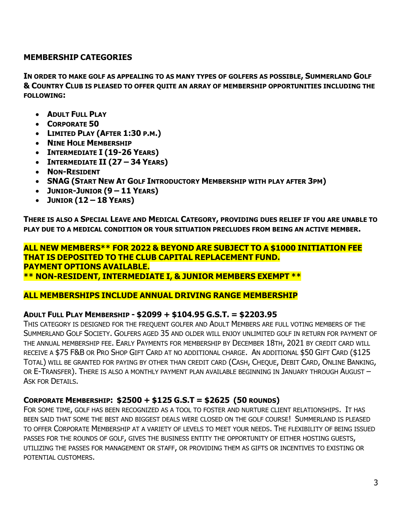## **MEMBERSHIP CATEGORIES**

**IN ORDER TO MAKE GOLF AS APPEALING TO AS MANY TYPES OF GOLFERS AS POSSIBLE, SUMMERLAND GOLF & COUNTRY CLUB IS PLEASED TO OFFER QUITE AN ARRAY OF MEMBERSHIP OPPORTUNITIES INCLUDING THE FOLLOWING:**

- **ADULT FULL PLAY**
- **CORPORATE 50**
- **LIMITED PLAY (AFTER 1:30 P.M.)**
- **NINE HOLE MEMBERSHIP**
- **INTERMEDIATE I (19-26 YEARS)**
- **INTERMEDIATE II (27 – 34 YEARS)**
- **NON-RESIDENT**
- **SNAG (START NEW AT GOLF INTRODUCTORY MEMBERSHIP WITH PLAY AFTER 3PM)**
- **JUNIOR-JUNIOR (9 – 11 YEARS)**
- **JUNIOR (12 – 18 YEARS)**

**THERE IS ALSO A SPECIAL LEAVE AND MEDICAL CATEGORY, PROVIDING DUES RELIEF IF YOU ARE UNABLE TO PLAY DUE TO A MEDICAL CONDITION OR YOUR SITUATION PRECLUDES FROM BEING AN ACTIVE MEMBER.**

#### **ALL NEW MEMBERS\*\* FOR 2022 & BEYOND ARE SUBJECT TO A \$1000 INITIATION FEE THAT IS DEPOSITED TO THE CLUB CAPITAL REPLACEMENT FUND. PAYMENT OPTIONS AVAILABLE. \*\* NON-RESIDENT, INTERMEDIATE I, & JUNIOR MEMBERS EXEMPT \*\***

### **ALL MEMBERSHIPS INCLUDE ANNUAL DRIVING RANGE MEMBERSHIP**

#### **ADULT FULL PLAY MEMBERSHIP - \$2099 + \$104.95 G.S.T. = \$2203.95**

THIS CATEGORY IS DESIGNED FOR THE FREQUENT GOLFER AND ADULT MEMBERS ARE FULL VOTING MEMBERS OF THE SUMMERLAND GOLF SOCIETY. GOLFERS AGED 35 AND OLDER WILL ENJOY UNLIMITED GOLF IN RETURN FOR PAYMENT OF THE ANNUAL MEMBERSHIP FEE. EARLY PAYMENTS FOR MEMBERSHIP BY DECEMBER 18TH, 2021 BY CREDIT CARD WILL RECEIVE A \$75 F&B OR PRO SHOP GIFT CARD AT NO ADDITIONAL CHARGE. AN ADDITIONAL \$50 GIFT CARD (\$125 TOTAL) WILL BE GRANTED FOR PAYING BY OTHER THAN CREDIT CARD (CASH, CHEQUE, DEBIT CARD, ONLINE BANKING, OR E-TRANSFER). THERE IS ALSO A MONTHLY PAYMENT PLAN AVAILABLE BEGINNING IN JANUARY THROUGH AUGUST – ASK FOR DETAILS.

### **CORPORATE MEMBERSHIP: \$2500 + \$125 G.S.T = \$2625 (50 ROUNDS)**

FOR SOME TIME, GOLF HAS BEEN RECOGNIZED AS A TOOL TO FOSTER AND NURTURE CLIENT RELATIONSHIPS. IT HAS BEEN SAID THAT SOME THE BEST AND BIGGEST DEALS WERE CLOSED ON THE GOLF COURSE! SUMMERLAND IS PLEASED TO OFFER CORPORATE MEMBERSHIP AT A VARIETY OF LEVELS TO MEET YOUR NEEDS. THE FLEXIBILITY OF BEING ISSUED PASSES FOR THE ROUNDS OF GOLF, GIVES THE BUSINESS ENTITY THE OPPORTUNITY OF EITHER HOSTING GUESTS, UTILIZING THE PASSES FOR MANAGEMENT OR STAFF, OR PROVIDING THEM AS GIFTS OR INCENTIVES TO EXISTING OR POTENTIAL CUSTOMERS.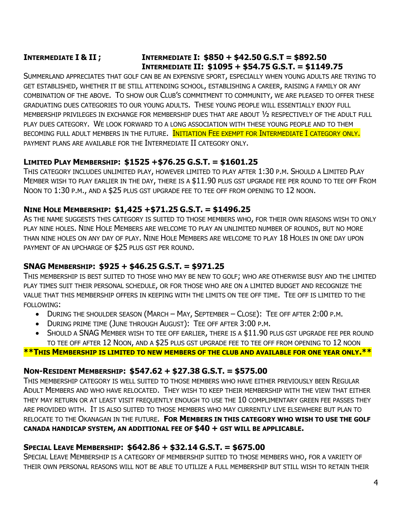## **INTERMEDIATE I & II ; INTERMEDIATE I: \$850 + \$42.50 G.S.T = \$892.50 INTERMEDIATE II: \$1095 + \$54.75 G.S.T. = \$1149.75**

SUMMERLAND APPRECIATES THAT GOLF CAN BE AN EXPENSIVE SPORT, ESPECIALLY WHEN YOUNG ADULTS ARE TRYING TO GET ESTABLISHED, WHETHER IT BE STILL ATTENDING SCHOOL, ESTABLISHING A CAREER, RAISING A FAMILY OR ANY COMBINATION OF THE ABOVE. TO SHOW OUR CLUB'S COMMITMENT TO COMMUNITY, WE ARE PLEASED TO OFFER THESE GRADUATING DUES CATEGORIES TO OUR YOUNG ADULTS. THESE YOUNG PEOPLE WILL ESSENTIALLY ENJOY FULL MEMBERSHIP PRIVILEGES IN EXCHANGE FOR MEMBERSHIP DUES THAT ARE ABOUT ½ RESPECTIVELY OF THE ADULT FULL PLAY DUES CATEGORY. WE LOOK FORWARD TO A LONG ASSOCIATION WITH THESE YOUNG PEOPLE AND TO THEM BECOMING FULL ADULT MEMBERS IN THE FUTURE. INITIATION FEE EXEMPT FOR INTERMEDIATE I CATEGORY ONLY. PAYMENT PLANS ARE AVAILABLE FOR THE INTERMEDIATE II CATEGORY ONLY.

### **LIMITED PLAY MEMBERSHIP: \$1525 +\$76.25 G.S.T. = \$1601.25**

THIS CATEGORY INCLUDES UNLIMITED PLAY, HOWEVER LIMITED TO PLAY AFTER 1:30 P.M. SHOULD A LIMITED PLAY MEMBER WISH TO PLAY EARLIER IN THE DAY, THERE IS A \$11.90 PLUS GST UPGRADE FEE PER ROUND TO TEE OFF FROM NOON TO 1:30 P.M., AND A \$25 PLUS GST UPGRADE FEE TO TEE OFF FROM OPENING TO 12 NOON.

### **NINE HOLE MEMBERSHIP: \$1,425 +\$71.25 G.S.T. = \$1496.25**

AS THE NAME SUGGESTS THIS CATEGORY IS SUITED TO THOSE MEMBERS WHO, FOR THEIR OWN REASONS WISH TO ONLY PLAY NINE HOLES. NINE HOLE MEMBERS ARE WELCOME TO PLAY AN UNLIMITED NUMBER OF ROUNDS, BUT NO MORE THAN NINE HOLES ON ANY DAY OF PLAY. NINE HOLE MEMBERS ARE WELCOME TO PLAY 18 HOLES IN ONE DAY UPON PAYMENT OF AN UPCHARGE OF \$25 PLUS GST PER ROUND.

### **SNAG MEMBERSHIP: \$925 + \$46.25 G.S.T. = \$971.25**

THIS MEMBERSHIP IS BEST SUITED TO THOSE WHO MAY BE NEW TO GOLF; WHO ARE OTHERWISE BUSY AND THE LIMITED PLAY TIMES SUIT THEIR PERSONAL SCHEDULE, OR FOR THOSE WHO ARE ON A LIMITED BUDGET AND RECOGNIZE THE VALUE THAT THIS MEMBERSHIP OFFERS IN KEEPING WITH THE LIMITS ON TEE OFF TIME. TEE OFF IS LIMITED TO THE FOLLOWING:

- DURING THE SHOULDER SEASON (MARCH MAY, SEPTEMBER CLOSE): TEE OFF AFTER 2:00 P.M.
- DURING PRIME TIME (JUNE THROUGH AUGUST): TEE OFF AFTER 3:00 P.M.
- SHOULD A SNAG MEMBER WISH TO TEE OFF EARLIER, THERE IS A \$11.90 PLUS GST UPGRADE FEE PER ROUND TO TEE OFF AFTER 12 NOON, AND A \$25 PLUS GST UPGRADE FEE TO TEE OFF FROM OPENING TO 12 NOON

**\*\*THIS MEMBERSHIP IS LIMITED TO NEW MEMBERS OF THE CLUB AND AVAILABLE FOR ONE YEAR ONLY.\*\*** 

#### **NON-RESIDENT MEMBERSHIP: \$547.62 + \$27.38 G.S.T. = \$575.00**

THIS MEMBERSHIP CATEGORY IS WELL SUITED TO THOSE MEMBERS WHO HAVE EITHER PREVIOUSLY BEEN REGULAR ADULT MEMBERS AND WHO HAVE RELOCATED. THEY WISH TO KEEP THEIR MEMBERSHIP WITH THE VIEW THAT EITHER THEY MAY RETURN OR AT LEAST VISIT FREQUENTLY ENOUGH TO USE THE 10 COMPLIMENTARY GREEN FEE PASSES THEY ARE PROVIDED WITH. IT IS ALSO SUITED TO THOSE MEMBERS WHO MAY CURRENTLY LIVE ELSEWHERE BUT PLAN TO RELOCATE TO THE OKANAGAN IN THE FUTURE. **FOR MEMBERS IN THIS CATEGORY WHO WISH TO USE THE GOLF CANADA HANDICAP SYSTEM, AN ADDITIONAL FEE OF \$40 + GST WILL BE APPLICABLE.**

### **SPECIAL LEAVE MEMBERSHIP: \$642.86 + \$32.14 G.S.T. = \$675.00**

SPECIAL LEAVE MEMBERSHIP IS A CATEGORY OF MEMBERSHIP SUITED TO THOSE MEMBERS WHO, FOR A VARIETY OF THEIR OWN PERSONAL REASONS WILL NOT BE ABLE TO UTILIZE A FULL MEMBERSHIP BUT STILL WISH TO RETAIN THEIR